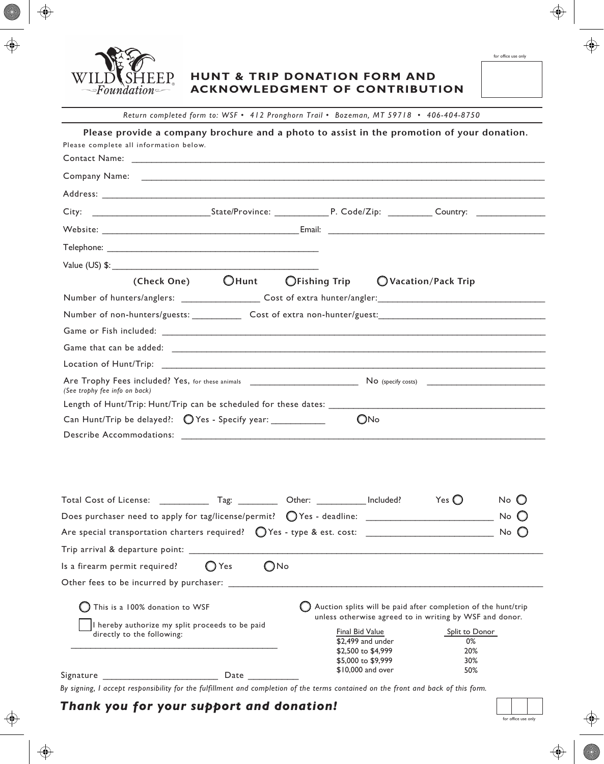

### **HUNT & TRIP DONATION FORM AND ACKNOWLEDGMENT OF CONTRIBUTION**

*Return completed form to: WSF • 412 Pronghorn Trail • Bozeman, MT 59718 • 406-404-8750*

| Please provide a company brochure and a photo to assist in the promotion of your donation.<br>Please complete all information below. |                                 |                                                                                                                          |     |                                           |                    |
|--------------------------------------------------------------------------------------------------------------------------------------|---------------------------------|--------------------------------------------------------------------------------------------------------------------------|-----|-------------------------------------------|--------------------|
|                                                                                                                                      |                                 |                                                                                                                          |     |                                           |                    |
|                                                                                                                                      |                                 |                                                                                                                          |     |                                           |                    |
| City:                                                                                                                                |                                 |                                                                                                                          |     |                                           |                    |
|                                                                                                                                      |                                 |                                                                                                                          |     |                                           |                    |
|                                                                                                                                      |                                 |                                                                                                                          |     |                                           |                    |
|                                                                                                                                      |                                 |                                                                                                                          |     |                                           |                    |
|                                                                                                                                      |                                 | (Check One) $\bigcirc$ Hunt $\bigcirc$ Fishing Trip $\bigcirc$ Vacation/Pack Trip                                        |     |                                           |                    |
| Number of hunters/anglers: _____________________Cost of extra hunter/angler: _________________________________                       |                                 |                                                                                                                          |     |                                           |                    |
| Number of non-hunters/guests: Cost of extra non-hunter/guest: Number of non-hunters/guest of extra non-hunter/guest:                 |                                 |                                                                                                                          |     |                                           |                    |
|                                                                                                                                      |                                 |                                                                                                                          |     |                                           |                    |
|                                                                                                                                      |                                 |                                                                                                                          |     |                                           |                    |
|                                                                                                                                      |                                 |                                                                                                                          |     |                                           |                    |
| (See trophy fee info on back)                                                                                                        |                                 |                                                                                                                          |     |                                           |                    |
| Length of Hunt/Trip: Hunt/Trip can be scheduled for these dates: __________                                                          |                                 |                                                                                                                          |     |                                           |                    |
| Can Hunt/Trip be delayed?: O Yes - Specify year: ___________                                                                         |                                 |                                                                                                                          | ONo |                                           |                    |
|                                                                                                                                      |                                 |                                                                                                                          |     |                                           |                    |
| Are special transportation charters required?                                                                                        |                                 |                                                                                                                          |     | Yes $\bigcirc$                            | No (J<br>No.<br>No |
| Trip arrival & departure point:                                                                                                      |                                 |                                                                                                                          |     |                                           |                    |
| Is a firearm permit required?                                                                                                        | $\bigcirc$ No<br>$\bigcirc$ Yes |                                                                                                                          |     |                                           |                    |
| Other fees to be incurred by purchaser:                                                                                              |                                 |                                                                                                                          |     |                                           |                    |
| This is a 100% donation to WSF                                                                                                       |                                 | Auction splits will be paid after completion of the hunt/trip<br>unless otherwise agreed to in writing by WSF and donor. |     |                                           |                    |
| hereby authorize my split proceeds to be paid<br>directly to the following:<br>Signature                                             | Date                            | Final Bid Value<br>\$2,499 and under<br>\$2,500 to \$4,999<br>\$5,000 to \$9,999<br>\$10,000 and over                    |     | Split to Donor<br>0%<br>20%<br>30%<br>50% |                    |

*By signing, I accept responsibility for the fulfillment and completion of the terms contained on the front and back of this form.*

# *Thank you for your support and donation!*